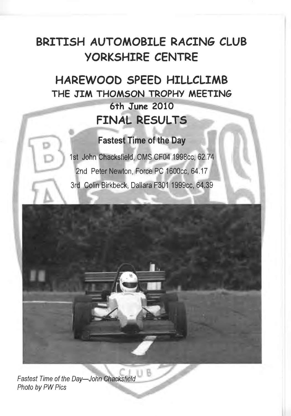# **BRITISH AUTOMOBILE RACING CLUB YORKSHIRE CENTRE**

# **HAREWOOD SPEED HILLCLIMB THE JIM THOMSON TROPHY MEETING**

## **6th June 2010 FINAL RESULTS**

## **Fastest Time of the Day**

**1st John Chacksfield, OMS CF04 1998cc, 62.74 2nd Peter Newton, Force PC 1600cc, 64.17 3rd Colin Birkbeck, Dallara F301 1999cc, 64.39**



*Fastest Time of the Day— John Chacksfield Photo by PW Pics*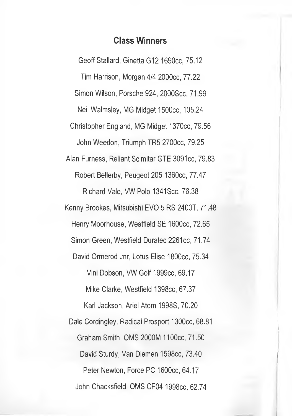### **Class Winners**

**Geoff Stallard, Ginetta G12 1690cc, 75.12 Tim Harrison, Morgan 4/4 2000cc, 77.22 Simon Wilson, Porsche 924, 2000Scc, 71.99** Neil Walmsley, MG Midget 1500cc, 105.24 **Christopher England, MG Midget 1370cc, 79.56 John Weedon, Triumph TR5 2700cc, 79.25** Alan Furness, Reliant Scimitar GTE 3091cc, 79.83 **Robert Bellerby, Peugeot 205 1360cc, 77.47 Richard Vale, VW Polo 1341 See, 76.38 Kenny Brookes, Mitsubishi EVO 5 RS 2400T, 71.48 Henry Moorhouse, Westfield SE 1600cc, 72.65** Simon Green, Westfield Duratec 2261cc, 71.74 **David Ormerod Jnr, Lotus Elise 1800cc, 75.34 Vini Dobson, VW Golf 1999cc, 69.17 Mike Clarke, Westfield 1398cc, 67.37 Karl Jackson, Ariel Atom 1998S, 70.20 Dale Cordingley, Radical Prosport 1300cc, 68.81 Graham Smith, QMS 2000M IIOOcc, 71.50 David Sturdy, Van Diemen 1598cc, 73.40 Peter Newton, Force PC 1600cc, 64.17 John Chacksfield, QMS CF04 1998cc, 62.74**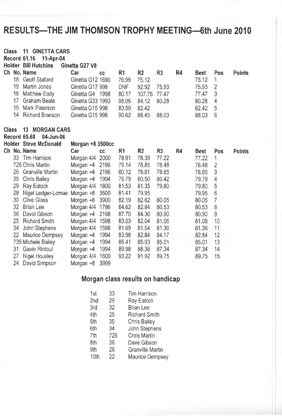## **RESULTS-THE JIM THOMSON TROPHY MEETING-6th June 2010**

#### **Class 11 GINETTACARS**

**Record 61.16 11-Apr-04**

**Holder Bill Hutchins Ginetta G27 V8**<br>Ch No. Name Car

|  | Ch No. Name        | Car              | CC. | R1         | R2           | R3    | R4 | <b>Best</b> | Pos | <b>Points</b> |
|--|--------------------|------------------|-----|------------|--------------|-------|----|-------------|-----|---------------|
|  | 18 Geoff Stallard  | Ginetta G12 1690 |     | 76.99      | 75.12        |       |    | 75.12       |     |               |
|  | 19 Martin Jones    | Ginetta G17 998  |     | <b>DNF</b> | 92.92        | 75.93 |    | 75.93 2     |     |               |
|  | 16 Matthew Eady    | Ginetta G4 1998  |     | 80.17      | 107.75 77.47 |       |    | 77.47 3     |     |               |
|  | 17 Graham Beale    | Ginetta G33 1993 |     | 98.05      | 84.12        | 80.28 |    | 80.28       | 4   |               |
|  | 15 Mark Paterson   | Ginetta G15 998  |     | 83.59      | 82.42        |       |    | 82.42 5     |     |               |
|  | 14 Richard Branson | Ginetta G15 998  |     | 90.62      | 88.45        | 88.03 |    | 88.03       | -6  |               |

#### **Class 13 MORGAN CARS**

**Record 65.68 04-Jun-06**

|      | Holder Steve McDonald | Morgan $+8$ 3500 $cc$ |      |       |       |                |    |       |     |               |
|------|-----------------------|-----------------------|------|-------|-------|----------------|----|-------|-----|---------------|
|      | Ch No. Name           | Car                   | CC.  | R1    | R2    | R <sub>3</sub> | R4 | Best  | Pos | <b>Points</b> |
|      | 33 Tim Harrison       | Morgan 4/4 2000       |      | 78.91 | 78.39 | 77.22          |    | 77.22 |     |               |
|      | 726 Chris Martin      | Morgan $+4$ 2196      |      | 79.14 | 78.85 | 78.48          |    | 78.48 | 2   |               |
|      | 26 Granville Martin   | Morgan $+4$ 2196      |      | 80.12 | 78.81 | 78.65          |    | 78.65 | 3   |               |
|      | 35 Chris Bailey       | Morgan +4 1994        |      | 79.79 | 80.50 | 80.42          |    | 79.79 | 4   |               |
|      | 29 Ray Eatock         | Morgan 4/4 1800       |      | 81.53 | 81.35 | 79.80          |    | 79.80 | -5  |               |
|      | 28 Nigel Ledger-Lomas | Morgan $+8$ 3500      |      | 81.41 | 79.95 |                |    | 79.95 | 6   |               |
|      | 30 Clive Glass        | Morgan $+8$ 3900      |      | 82.19 | 82.62 | 80.05          |    | 80.05 | 7   |               |
| 32 - | Brian Lee             | Morgan 4/4 1796       |      | 84.62 | 82.84 | 80.53          |    | 80.53 | 8   |               |
|      | 36 David Gibson       | Morgan +4 2198        |      | 87.70 | 84.30 | 80.90          |    | 80.90 | 9   |               |
|      | 25 Richard Smith      | Morgan 4/4 1598       |      | 83.03 | 82.04 | 81.06          |    | 81.06 | 10  |               |
| 34   | John Stephens         | Morgan 4/4 1598       |      | 81.69 | 81.54 | 81.36          |    | 81.36 | 11  |               |
|      | 22 Maurice Dempsey    | Morgan +4 1994        |      | 83.98 | 82.84 | 84.17          |    | 82.84 | 12  |               |
|      | 735 Michele Bailey    | Morgan +4 1994        |      | 86.41 | 85.93 | 85.01          |    | 85.01 | 13  |               |
|      | 31 Gavin Rintoul      | Morgan +4 1994        |      | 89.98 | 88.36 | 87.34          |    | 87.34 | 14  |               |
| 27 - | Nigel Housley         | Morgan 4/4 1600       |      | 93.22 | 91.92 | 89.75          |    | 89.75 | 15  |               |
| 24   | David Simpson         | Morgan +8             | 3999 |       |       |                |    |       |     |               |
|      |                       |                       |      |       |       |                |    |       |     |               |

#### **Morgan class results on handicap**

| 1st  | 33  | <b>Tim Harrison</b>  |
|------|-----|----------------------|
| 2nd  | 29  | Ray Eatock           |
| 3rd  | 32  | <b>Brian Lee</b>     |
| 4th  | 25  | <b>Richard Smith</b> |
| 5th  | 35  | Chris Bailey         |
| 6th  | 34  | John Stephens        |
| 7th  | 726 | Chris Martin         |
| 8th  | 36  | Dave Gibson          |
| 9th  | 26  | Granville Martin     |
| 10th | 22  | Maurice Dempsey      |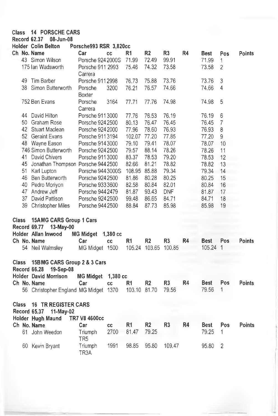#### **Class 14 PORSCHE CARS**

**Record 62.37 08-Jun-08**

|              |    | <b>Holder Colin Belton</b>                                                         | Porsche993 RSR 3,820cc |            |                |                |                |                |             |     |               |
|--------------|----|------------------------------------------------------------------------------------|------------------------|------------|----------------|----------------|----------------|----------------|-------------|-----|---------------|
|              |    | Ch No. Name                                                                        | Car                    | <b>CC</b>  | R <sub>1</sub> | R <sub>2</sub> | R <sub>3</sub> | <b>R4</b>      | Best        | Pos | <b>Points</b> |
|              |    | 43 Simon Wilson                                                                    | Porsche 924 2000S      |            | 71.99          | 72.49          | 99.91          |                | 71.99       | 1   |               |
|              |    | 175 Ian Wadsworth                                                                  | Porsche 911 2993       |            | 75.46          | 74.32          | 73.58          |                | 73.58       | 2   |               |
|              |    |                                                                                    | Carrera                |            |                |                |                |                |             |     |               |
|              | 49 | Tim Barber                                                                         | Porsche 911 2998       |            | 76.73          | 75.88          | 73.76          |                | 73.76       | 3   |               |
|              | 38 | Simon Butterworth                                                                  | Porsche                | 3200       | 76.21          | 76.57          | 74.66          |                | 74.66       | 4   |               |
|              |    |                                                                                    | <b>Boxter</b>          |            |                |                |                |                |             |     |               |
|              |    | 752 Ben Evans                                                                      | Porsche                | 3164       | 77.71          | 77.76          | 74.98          |                | 74.98       | 5   |               |
|              |    |                                                                                    | Carrera                |            |                |                |                |                |             |     |               |
|              | 44 | David Hilton                                                                       | Porsche 911 3000       |            | 77.76          | 76.53          | 76.19          |                | 76.19       | 6   |               |
|              | 50 | Graham Rose                                                                        | Porsche 924 2500       |            | 80.13          | 76.47          | 76.45          |                | 76.45       | 7   |               |
|              |    | 42 Stuart Maclean                                                                  | Porsche 924 2000       |            | 77.96          | 78.60          | 76.93          |                | 76.93       | 8   |               |
|              |    | 52 Geraint Evans                                                                   |                        |            |                |                |                |                |             | 9   |               |
|              |    |                                                                                    | Porsche 9113194        |            | 102.07         | 77.20          | 77.85          |                | 77.20       |     |               |
|              |    | 48 Wayne Eason                                                                     | Porsche 914 3000       |            | 79.10          | 79.41          | 78.07          |                | 78.07       | 10  |               |
|              |    | 746 Simon Butterworth                                                              | Porsche 924 2500       |            | 79.57          | 88.14          | 78.26          |                | 78.26       | 11  |               |
|              | 41 | David Chivers                                                                      | Porsche 9113000        |            | 83.37          | 78.53          | 79.20          |                | 78.53       | 12  |               |
|              | 45 | Jonathan Thompson Porsche 944 2500                                                 |                        |            | 82.66          | 81.21          | 78.82          |                | 78.82       | 13  |               |
|              | 51 | Karl Lupton                                                                        | Porsche 944 3000S      |            | 108.95 85.88   |                | 79.34          |                | 79.34       | 14  |               |
|              |    | 46 Ben Butterworth                                                                 | Porsche 924 2500       |            | 81.86          | 80.28          | 80.25          |                | 80.25       | 15  |               |
|              |    | 40 Pedro Moriyon                                                                   | Porsche 933 3600       |            | 82.58          | 80.84          | 82.01          |                | 80.84       | 16  |               |
|              |    | 47 Andrew Jeff                                                                     | Porsche 944 2479       |            | 81.87          | 93.43          | DNF            |                | 81.87       | 17  |               |
|              | 37 | David Pattison                                                                     | Porsche 924 2500       |            | 99.48          | 86.65          | 84.71          |                | 84.71       | 18  |               |
|              |    | 39 Christopher Miles                                                               | Porsche 944 2500       |            | 88.84          | 87.73          | 85.98          |                | 85.98       | 19  |               |
| Class        |    | <b>15AMG CARS Group 1 Cars</b><br>Record 69.77<br>13-May-00<br>Holder Allan Inwood | <b>MG Midget</b>       | $1,380$ cc |                |                |                |                |             |     |               |
|              |    | Ch No. Name                                                                        | Car                    | CC         | R <sub>1</sub> | R <sub>2</sub> | R <sub>3</sub> | R <sub>4</sub> | <b>Best</b> | Pos | <b>Points</b> |
|              |    | 54 Neil Walmsley                                                                   | MG Midget 1500         |            |                | 105.24 103.65  | 100.85         |                | 105.24      | 1   |               |
|              |    |                                                                                    |                        |            |                |                |                |                |             |     |               |
| <b>Class</b> |    | 15BMG CARS Group 2 & 3 Cars<br>Record 66.28<br>19-Sep-08                           |                        |            |                |                |                |                |             |     |               |
|              |    | <b>Holder David Morrison</b>                                                       | <b>MG Midget</b>       | 1,380 cc   |                |                |                |                |             |     |               |
|              |    | Ch No. Name                                                                        | Car                    | CC         | R1             | R <sub>2</sub> | R <sub>3</sub> | R4             | <b>Best</b> | Pos | <b>Points</b> |
|              |    | 56 Christopher England MG Midget 1370                                              |                        |            | 103.10 81.70   |                | 79.56          |                | 79.56       | 1   |               |
| <b>Class</b> |    | <b>16 TR REGISTER CARS</b><br><b>Record 65.37</b><br>11-May-02                     |                        |            |                |                |                |                |             |     |               |
|              |    | Holder Hugh Maund                                                                  | TR7 V8 4600cc          |            |                | R <sub>2</sub> | R <sub>3</sub> | R4             |             | Pos | <b>Points</b> |
|              |    | Ch No. Name                                                                        | Car                    | cc         | R <sub>1</sub> |                |                |                | Best        |     |               |
|              | 61 | John Weedon                                                                        | Triumph                | 2700       | 81.47          | 79.25          |                |                | 79.25       | 1   |               |
|              |    |                                                                                    | TR5                    |            |                |                |                |                |             |     |               |
|              |    | 60 Kevin Bryant                                                                    | Triumph<br>TR3A        | 1991       | 98.85          | 95,80          | 109.47         |                | 95.80       | 2   |               |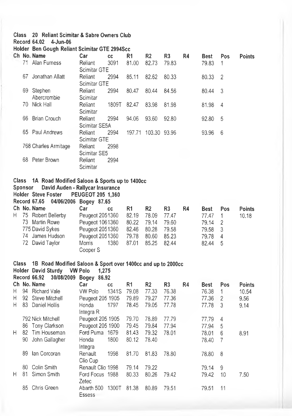#### **Class 20 Reliant Scimitar & Sabre Owners Club**

#### **Record 64.02 4-Jun-06**

#### **Holder Ben Gough Reliant Scimitar GTE 2994Scc**

|     | Ch No. Name          | Car           | cc    | R1     | R <sub>2</sub> | R <sub>3</sub> | R4 | Best  | Pos            | <b>Points</b> |
|-----|----------------------|---------------|-------|--------|----------------|----------------|----|-------|----------------|---------------|
|     | 71 Alan Furness      | Reliant       | 3091  | 81.00  | 82.73          | 79.83          |    | 79.83 | 1              |               |
|     |                      | Scimitar GTE  |       |        |                |                |    |       |                |               |
| 67  | Jonathan Allatt      | Reliant       | 2994  | 85.11  | 82.62          | 80.33          |    | 80.33 | $\overline{2}$ |               |
|     |                      | Scimitar GTE  |       |        |                |                |    |       |                |               |
| 69. | Stephen              | Reliant       | 2994  | 80.47  | 80.44          | 84.56          |    | 80.44 | -3             |               |
|     | Abercrombie          | Scimitar      |       |        |                |                |    |       |                |               |
|     | 70 Nick Hall         | Reliant       | 1809T | 82.47  | 83.98          | 81.98          |    | 81.98 | $\overline{4}$ |               |
|     |                      | Scimitar      |       |        |                |                |    |       |                |               |
| 66. | <b>Brian Crouch</b>  | Reliant       | 2994  | 94.06  | 93.60          | 92.80          |    | 92.80 | 5              |               |
|     |                      | Scimitar SE5A |       |        |                |                |    |       |                |               |
| 65. | Paul Andrews         | Reliant       | 2994  | 197.71 | 103.30 93.96   |                |    | 93.96 | 6              |               |
|     |                      | Scimitar GTE  |       |        |                |                |    |       |                |               |
|     | 768 Charles Armitage | Reliant       | 2998  |        |                |                |    |       |                |               |
|     |                      | Scimitar SE5  |       |        |                |                |    |       |                |               |
|     | 68 Peter Brown       | Reliant       | 2994  |        |                |                |    |       |                |               |
|     |                      | Scimitar      |       |        |                |                |    |       |                |               |
|     |                      |               |       |        |                |                |    |       |                |               |

#### **Class 1A Road Modified Saloon & Sports up to 1400cc**

#### **Sponsor David Auden - Rallycar Insurance**

**Holder Steve Foster PEUGEOT 205 1,360**

|  | Record 67.65 04/06/2006 Bogey 87.65 |          |                 |                |                |                |    |         |                |               |
|--|-------------------------------------|----------|-----------------|----------------|----------------|----------------|----|---------|----------------|---------------|
|  | Ch No. Name                         | Car      | <b>CC</b>       | R <sub>1</sub> | R <sub>2</sub> | R <sub>3</sub> | R4 | Best    | Pos            | <b>Points</b> |
|  | H 75 Robert Bellerby                |          | Peugeot 2051360 | 82.19          | 78.09          | 77.47          |    | 77.47   |                | 10.18         |
|  | 73 Martin Rowe                      |          | Peugeot 1061360 | 80.22          | 79.14          | 79.60          |    | 79.14 2 |                |               |
|  | 775 David Sykes                     |          | Peugeot 2051360 | 82.46          | 80.28          | 79.58          |    | 79.58 3 |                |               |
|  | 74 James Hudson                     |          | Peugeot 2051360 | 79.78          | 80.60          | 85.23          |    | 79.78   | $\overline{4}$ |               |
|  | 72 David Taylor                     | Morris   | 1380            | 87.01          | 85.25          | 82.44          |    | 82.44   | - 5            |               |
|  |                                     | Cooper S |                 |                |                |                |    |         |                |               |

#### **Class IB Road Modified Saloon & Sport over 1400cc and up to 2000cc**

|    |     | <b>Holder</b> David Sturdy | <b>VW Polo</b><br>1.275  |           |                |                |                |                |       |     |               |
|----|-----|----------------------------|--------------------------|-----------|----------------|----------------|----------------|----------------|-------|-----|---------------|
|    |     | Record 66.92<br>30/08/2009 | Bogey<br>86.92           |           |                |                |                |                |       |     |               |
|    |     | Ch No. Name                | Car                      | <b>CC</b> | R <sub>1</sub> | R <sub>2</sub> | R <sub>3</sub> | R <sub>4</sub> | Best  | Pos | <b>Points</b> |
| Н. |     | 94 Richard Vale            | VW Polo                  | 1341S     | 79.08          | 77.33          | 76.38          |                | 76.38 |     | 10.54         |
| H. |     | 92 Steve Mitchell          | Peugeot 205 1905         |           | 79.89          | 79.27          | 77.36          |                | 77.36 | 2   | 9.56          |
| Н. | 83  | Daniel Hollis              | Honda<br>Integra R       | 1797      | 78.45          | 79.05          | 77.78          |                | 77.78 | 3   | 9.14          |
|    |     | 792 Nick Mitchell          | Peugeot 205 1905         |           | 79.70          | 78.89          | 77.79          |                | 77.79 | 4   |               |
|    |     | 86 Tony Clarkson           | Peugeot 205 1900         |           | 79.45          | 79.84          | 77.94          |                | 77.94 | 5   |               |
| H. | 82. | Tim Houseman               | Ford Puma                | 1679      | 81.43          | 79.32          | 78.01          |                | 78.01 | 6   | 8.91          |
|    |     | 90 John Gallagher          | Honda<br>Integra         | 1800      | 80.12          | 78.40          |                |                | 78.40 | 7   |               |
|    | 89. | Ian Corcoran               | Renault<br>Clio Cup      | 1998      | 81.70          | 81.83          | 78.80          |                | 78.80 | 8   |               |
|    | 80. | Colin Smith                | Renault Clio 1998        |           | 79.14          | 79.22          |                |                | 79.14 | 9   |               |
| н  | 81  | Simon Smith                | Ford Focus 1988<br>Zetec |           | 80.33          | 80.26          | 79.42          |                | 79.42 | 10  | 7.50          |
|    |     | 85 Chris Green             | Abarth 500<br>Essess     | 1300T     | 81.38          | 80.89          | 79.51          |                | 79.51 | 11  |               |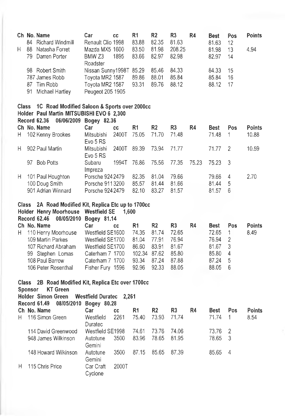|              |                         | Ch No. Name                                                      | Car                                        | cc        | R <sub>1</sub> | R <sub>2</sub> | R <sub>3</sub> | R <sub>4</sub> | <b>Best</b>    | Pos      | <b>Points</b> |
|--------------|-------------------------|------------------------------------------------------------------|--------------------------------------------|-----------|----------------|----------------|----------------|----------------|----------------|----------|---------------|
|              |                         | 84 Richard Windmill                                              | Renault Clio 1998                          |           | 83.88          | 82.35          | 81.63          |                | 81.63          | 12       |               |
| Н.           |                         | 88 Natasha Forret                                                | Mazda MX5 1600                             |           | 83.50          | 81.98          | 208.25         |                | 81.98          | 13       | 4.94          |
|              |                         | 79 Darren Porter                                                 | BMW <sub>Z3</sub>                          | 1895      | 83.66          | 82.97          | 82.98          |                | 82.97          | 14       |               |
|              |                         |                                                                  | Roadster                                   |           |                |                |                |                |                |          |               |
|              |                         | 98 Robert Smith<br>787 James Robb                                | Nissan Sunny1998T 85.29<br>Toyota MR2 1587 |           | 89.86          | 85.46<br>88.01 | 84.33<br>85.84 |                | 84.33<br>85.84 | 15<br>16 |               |
|              | 87                      | Tim Robb                                                         | Toyota MR2 1587                            |           | 93.31          | 89.76          | 88.12          |                | 88.12          | 17       |               |
|              | 91                      | Michael Hartley                                                  | Peugeot 205 1905                           |           |                |                |                |                |                |          |               |
|              |                         |                                                                  |                                            |           |                |                |                |                |                |          |               |
| <b>Class</b> |                         | 1C Road Modified Saloon & Sports over 2000cc                     |                                            |           |                |                |                |                |                |          |               |
|              |                         | Holder Paul Martin MITSUBISHI EVO 6 2,300                        |                                            |           |                |                |                |                |                |          |               |
|              |                         | <b>Record 62.36</b>                                              | 06/06/2009 Bogey 82.36                     |           |                |                |                |                |                |          |               |
|              |                         | Ch No. Name                                                      | Car                                        | cc        | R1             | R2             | R3             | R4             | Best           | Pos      | <b>Points</b> |
| н            |                         | 102 Kenny Brookes                                                | Mitsubishi                                 | 2400T     | 75.05          | 71.70          | 71.48          |                | 71.48          | 1        | 10.88         |
|              |                         |                                                                  | Evo 5 RS                                   |           |                |                |                |                |                |          |               |
| H            |                         | 902 Paul Martin                                                  | Mitsubishi                                 | 2400T     | 89.39          | 73.94          | 71.77          |                | 71.77          | 2        | 10.59         |
|              |                         |                                                                  | Evo 5 RS                                   |           |                |                |                |                |                |          |               |
|              |                         | 97 Bob Potts                                                     | Subaru                                     | 1994T     | 76.86          | 75.56          | 77.35          | 75.23          | 75.23          | 3        |               |
| Н.           |                         | 101 Paul Houghton                                                | Impreza<br>Porsche 924 2479                |           | 82.35          | 81.04          | 79.66          |                | 79.66          | 4        | 2.70          |
|              |                         | 100 Doug Smith                                                   | Porsche 911 3200                           |           | 85.57          | 81.44          | 81.66          |                | 81.44          | 5        |               |
|              |                         | 901 Adrian Winnard                                               | Porsche 924 2479                           |           | 82.10          | 83.27          | 81.57          |                | 81.57          | 6        |               |
|              |                         |                                                                  |                                            |           |                |                |                |                |                |          |               |
|              | Class                   | 2A Road Modified Kit, Replica Etc up to 1700cc                   |                                            |           |                |                |                |                |                |          |               |
|              |                         |                                                                  |                                            |           |                |                |                |                |                |          |               |
|              |                         | Holder Henry Moorhouse                                           | <b>Westfield SE</b>                        | 1.600     |                |                |                |                |                |          |               |
|              |                         | <b>Record 62.46</b><br>08/05/2010                                | Bogey 81.14                                |           |                |                |                |                |                |          |               |
|              |                         | Ch No. Name                                                      | Car                                        | cс        | R <sub>1</sub> | R <sub>2</sub> | R <sub>3</sub> | R <sub>4</sub> | Best           | Pos      | <b>Points</b> |
| H.           |                         | 110 Henry Moorhouse                                              | Westfield SE1600                           |           | 74.35          | 81.74          | 72.65          |                | 72.65          | 1        | 8.49          |
|              |                         | 109 Martin Parkes                                                | Westfield SE1700                           |           | 81.04          | 77.91          | 76.94          |                | 76.94          | 2        |               |
|              |                         | 107 Richard Abraham                                              | Westfield SE1700                           |           | 86.60          | 83.91          | 81.67          |                | 81.67          | 3        |               |
|              |                         | 99 Stephen Lomas                                                 | Caterham 7 1700                            |           | 102.34 87.62   |                | 85.80          |                | 85.80          | 4        |               |
|              |                         | 108 Paul Barrow                                                  | Caterham 7 1700                            |           | 93.34          | 87.24          | 87.88          |                | 87.24          | 5        |               |
|              |                         | 106 Peter Rosenthal                                              | Fisher Fury 1596                           |           | 92.96          | 92.33          | 88.05          |                | 88.05          | 6        |               |
|              |                         |                                                                  |                                            |           |                |                |                |                |                |          |               |
|              | Class<br><b>Sponsor</b> | 2B Road Modified Kit, Replica Etc over 1700cc<br><b>KT Green</b> |                                            |           |                |                |                |                |                |          |               |
|              |                         | <b>Holder Simon Green</b>                                        | <b>Westfield Duratec</b>                   | 2,261     |                |                |                |                |                |          |               |
|              |                         | Record 61.49                                                     | 08/05/2010 Bogey 80.28                     |           |                |                |                |                |                |          |               |
|              |                         | Ch No. Name                                                      | Car                                        | <b>CC</b> | R <sub>1</sub> | R2             | R3             | R4             | <b>Best</b>    | Pos      | <b>Points</b> |
| H.           |                         | 116 Simon Green                                                  | Westfield                                  | 2261      | 75.40          | 73.93          | 71.74          |                | 71.74          | 1        | 8.54          |
|              |                         |                                                                  | Duratec                                    |           |                |                |                |                |                |          |               |
|              |                         | 114 David Greenwood                                              | Westfield SE1998                           |           | 74.61          | 73.76          | 74.06          |                | 73.76          | 2        |               |
|              |                         | 948 James Wilkinson                                              | Autotune                                   | 3500      | 83.96          | 78.65          | 81.95          |                | 78.65          | 3        |               |
|              |                         |                                                                  | Gemini                                     |           |                |                |                |                |                |          |               |
|              |                         | 148 Howard Wilkinson                                             | Autotune                                   | 3500      | 87.15          | 85.65          | 87.39          |                | 85.65          | 4        |               |
| н            |                         |                                                                  | Gemini                                     |           |                |                |                |                |                |          |               |
|              |                         | 115 Chris Price                                                  | Car Craft<br>Cyclone                       | 2000T     |                |                |                |                |                |          |               |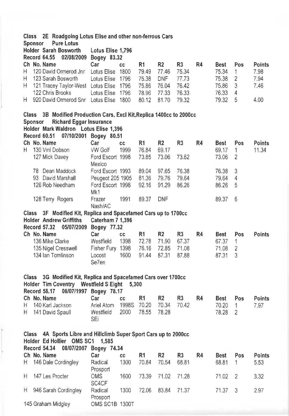| Class 2E Roadgoing Lotus Elise and other non-ferrous Cars<br><b>Sponsor</b><br><b>Pure Lotus</b><br><b>Holder Sarah Bosworth</b><br><b>Record 64.55</b><br>02/08/2009                        | Lotus Elise 1,796<br>Bogey 83.32                                |                    |                                        |                                                         |                                                    |                |                                          |                                      |                                       |
|----------------------------------------------------------------------------------------------------------------------------------------------------------------------------------------------|-----------------------------------------------------------------|--------------------|----------------------------------------|---------------------------------------------------------|----------------------------------------------------|----------------|------------------------------------------|--------------------------------------|---------------------------------------|
| Ch No. Name<br>120 David Ormerod Jnr<br>Н.<br>H.<br>123 Sarah Bosworth<br>Н.<br>121 Tracey Taylor-West Lotus Elise 1796<br>122 Chris Brooks                                                  | Car<br>Lotus Elise 1800<br>Lotus Elise 1796<br>Lotus Elise 1796 | CC                 | R1<br>79.49<br>75.38<br>75.86<br>78.96 | R <sub>2</sub><br>77.46<br><b>DNF</b><br>76.04<br>77.33 | R <sub>3</sub><br>75.34<br>77.73<br>76.42<br>76.33 | R4             | Best<br>75.34<br>75.38<br>75.86<br>76.33 | Pos<br>1<br>$\overline{c}$<br>3<br>4 | <b>Points</b><br>7.98<br>7.94<br>7.46 |
| 920 David Ormerod Snr Lotus Elise 1800<br>H.                                                                                                                                                 |                                                                 |                    | 80.12                                  | 81.70                                                   | 79.32                                              |                | 79.32                                    | 5                                    | 4.00                                  |
| Class<br>3B Modified Production Cars, Excl Kit, Replica 1400cc to 2000cc<br><b>Richard Eggar Insurance</b><br><b>Sponsor</b><br>Holder Mark Waldron Lotus Elise 1,396<br><b>Record 60.51</b> | 07/10/2001 Bogey 80.51                                          |                    |                                        |                                                         |                                                    |                |                                          |                                      |                                       |
| Ch No. Name                                                                                                                                                                                  | Car                                                             | <b>CC</b>          | R <sub>1</sub>                         | R <sub>2</sub>                                          | R <sub>3</sub>                                     | R4             | Best                                     | Pos                                  | <b>Points</b>                         |
| 130 Vinl Dobson<br>Н.<br>127 Mick Davey                                                                                                                                                      | VW Golf<br>Ford Escort 1998<br>Mexico                           | 1999               | 76.84<br>73.85                         | 69.17<br>73.06                                          | 73.62                                              |                | 69.17<br>73.06                           | $\mathbf{1}$<br>$\overline{c}$       | 11.34                                 |
| 78 Dean Maddock                                                                                                                                                                              | Ford Escort 1993                                                |                    | 89.04                                  | 97.65                                                   | 76.38                                              |                | 76.38                                    | 3                                    |                                       |
| 93 David Marshall<br>126 Rob Needham                                                                                                                                                         | Peugeot 205 1905<br>Ford Escort 1998                            |                    | 81.36<br>92.16                         | 79.76<br>91.29                                          | 79.64<br>86.26                                     |                | 79.64<br>86.26                           | 4<br>5                               |                                       |
| 128 Terry Rogers                                                                                                                                                                             | Mk1<br>Frazer                                                   | 1991               | 89.37                                  | <b>DNF</b>                                              |                                                    |                | 89.37                                    | 6                                    |                                       |
| 3F Modified Kit, Replica and Spacefamed Cars up to 1700cc<br><b>Class</b>                                                                                                                    | Nash/AC                                                         |                    |                                        |                                                         |                                                    |                |                                          |                                      |                                       |
| <b>Holder Andrew Griffiths</b>                                                                                                                                                               | Caterham 7 1,396                                                |                    |                                        |                                                         |                                                    |                |                                          |                                      |                                       |
| <b>Record 57.32</b><br>05/07/2009                                                                                                                                                            | Bogey 77.32                                                     |                    |                                        |                                                         |                                                    |                |                                          |                                      |                                       |
| Ch No. Name<br>136 Mike Clarke                                                                                                                                                               | Car<br>Westfield                                                | <b>CC</b><br>1398  | R <sub>1</sub><br>72.78                | R <sub>2</sub><br>71.90                                 | R <sub>3</sub><br>67.37                            | R <sub>4</sub> | <b>Best</b><br>67.37                     | Pos<br>1                             | Points                                |
| 135 Nigel Cresswell                                                                                                                                                                          | Fisher Fury 1398                                                |                    | 76.16                                  | 72.85                                                   | 71.08                                              |                | 71.08                                    | $\overline{2}$                       |                                       |
| 134 Ian Tomlinson                                                                                                                                                                            | Locost<br>Se7en                                                 | 1600               | 91.44                                  | 87.31                                                   | 87.88                                              |                | 87.31                                    | 3                                    |                                       |
| 3G Modified Kit, Replica and Spacefamed Cars over 1700cc<br><b>Class</b><br>Holder Tim Coventry Westfield S Eight                                                                            |                                                                 | 5,300              |                                        |                                                         |                                                    |                |                                          |                                      |                                       |
| <b>Record 58.17</b>                                                                                                                                                                          | 06/07/1997 Bogey 78.17                                          |                    |                                        |                                                         |                                                    |                |                                          |                                      |                                       |
| Ch No. Name<br>140 Karl Jackson<br>H.                                                                                                                                                        | Car<br>Ariel Atom                                               | <b>CC</b><br>1998S | R <sub>1</sub><br>70.20                | R <sub>2</sub><br>70.34                                 | R <sub>3</sub><br>70.42                            | R <sub>4</sub> | <b>Best</b><br>70.20                     | Pos<br>1                             | <b>Points</b><br>7.97                 |
| Н.<br>141 David Spaull                                                                                                                                                                       | Westfield<br>SEi                                                | 2000               | 78.55                                  | 78.28                                                   |                                                    |                | 78.28                                    | $\overline{c}$                       |                                       |
| Class 4A Sports Libre and Hillclimb Super Sport Cars up to 2000cc<br>Holder Ed Hollier OMS SC1<br>Record 54.34                                                                               | 1,585                                                           |                    |                                        |                                                         |                                                    |                |                                          |                                      |                                       |
| Ch No. Name                                                                                                                                                                                  | 08/07/2007 Bogey 74.34<br>Car                                   | cс                 | R1                                     | R <sub>2</sub>                                          | R3                                                 | R4             | Best                                     | Pos                                  | <b>Points</b>                         |
| 146 Dale Cordingley<br>Н.                                                                                                                                                                    | Radical<br>Prosport                                             | 1300               | 70.84                                  | 70.54                                                   | 68.81                                              |                | 68.81                                    | 1                                    | 5.53                                  |
| H.<br>147 Les Procter                                                                                                                                                                        | <b>OMS</b><br>SC4CF                                             | 1600               | 73.39                                  | 71.02                                                   | 71.28                                              |                | 71.02                                    | 2                                    | 3.32                                  |
| Н.<br>946 Sarah Cordingley                                                                                                                                                                   | Radical<br>Prosport                                             | 1300               | 72.06                                  | 83.84                                                   | 71.37                                              |                | 71.37                                    | 3                                    | 2.97                                  |
| 145 Graham Midgley                                                                                                                                                                           | OMS SC1B 1300T                                                  |                    |                                        |                                                         |                                                    |                |                                          |                                      |                                       |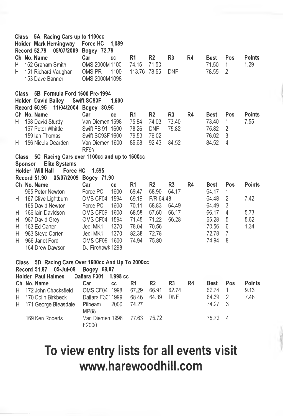| Class        |                | 5A Racing Cars up to 1100cc<br>Holder Mark Hemingway<br><b>Record 52.79</b><br>05/07/2009 | <b>Force HC</b><br>Bogey 72.79 | 1.089     |                |                |                |           |             |                |               |
|--------------|----------------|-------------------------------------------------------------------------------------------|--------------------------------|-----------|----------------|----------------|----------------|-----------|-------------|----------------|---------------|
|              |                | Ch No. Name                                                                               | Car                            | <b>CC</b> | R <sub>1</sub> | R <sub>2</sub> | R <sub>3</sub> | <b>R4</b> | <b>Best</b> | Pos            | Points        |
| н            |                | 152 Graham Smith                                                                          | OMS 2000M1100                  |           | 74.15          | 71.50          |                |           | 71.50       | 1              | 1.29          |
| H            |                | 151 Richard Vaughan                                                                       | OMS PR                         | 1100      | 113.76 78.55   |                | DNF            |           | 78.55       | $\overline{2}$ |               |
|              |                | 153 Dave Banner                                                                           | OMS 2000M1098                  |           |                |                |                |           |             |                |               |
| <b>Class</b> |                | 5B Formula Ford 1600 Pre-1994                                                             |                                |           |                |                |                |           |             |                |               |
|              |                | <b>Holder David Bailey</b>                                                                | Swift SC93F                    | 1,600     |                |                |                |           |             |                |               |
|              |                | <b>Record 60.95</b>                                                                       | 11/04/2004 Bogey 80.95         |           |                |                |                |           |             |                |               |
|              |                | Ch No. Name                                                                               | Car                            | CC        | R1             | R <sub>2</sub> | R <sub>3</sub> | <b>R4</b> | <b>Best</b> | Pos            | <b>Points</b> |
| н            |                | 158 David Sturdy                                                                          | Van Diemen 1598                |           | 75.84          | 74.03          | 73.40          |           | 73.40       | 1              | 7.55          |
|              |                | 157 Peter Whittle                                                                         | Swift FB 91 1600               |           | 78.26          | <b>DNF</b>     | 75.82          |           | 75.82       | $\overline{2}$ |               |
|              |                | 159 Ian Thomas                                                                            | Swift SC93F 1600               |           | 79.53          | 76.02          |                |           | 76.02       | 3              |               |
| н.           |                | 156 Nicola Dearden                                                                        | Van Diemen 1600                |           | 86.68          | 92.43          | 84.52          |           | 84.52       | 4              |               |
|              |                |                                                                                           | RF91                           |           |                |                |                |           |             |                |               |
|              |                | Class 5C Racing Cars over 1100cc and up to 1600cc                                         |                                |           |                |                |                |           |             |                |               |
|              | <b>Sponsor</b> | <b>Elite Systems</b><br>Holder Will Hall<br><b>Force HC</b>                               | 1,595                          |           |                |                |                |           |             |                |               |
|              |                | <b>Record 51.90</b>                                                                       | 05/07/2009 Bogey 71.90         |           |                |                |                |           |             |                |               |
|              |                | Ch No. Name                                                                               | Car                            | <b>CC</b> | R <sub>1</sub> | R <sub>2</sub> | R <sub>3</sub> | R4        | <b>Best</b> | Pos            | Points        |
|              |                | 965 Peter Newton                                                                          | Force PC                       | 1600      | 69.47          | 68.90          | 64.17          |           | 64.17       | 1              |               |
| н            |                | 167 Clive Lightburn                                                                       | OMS CF04 1594                  |           | 69.19          | F/R 64.48      |                |           | 64.48       | $\overline{c}$ | 7.42          |
|              |                | 165 David Newton                                                                          | Force PC                       | 1600      | 70.11          | 68.83          | 64.49          |           | 64.49       | 3              |               |
| н            |                | 166 Iain Davidson                                                                         | OMS CF09 1600                  |           | 68.58          | 67.60          | 66.17          |           | 66.17       | $\overline{4}$ | 5.73          |
| н            |                | 967 David Grey                                                                            | OMS CF04 1594                  |           | 71.45          | 71.22          | 66.28          |           | 66.28       | 5              | 5.62          |
| Н            |                | 163 Ed Carter                                                                             | Jedi MK1                       | 1370      | 78.04          | 70.56          |                |           | 70.56       | 6              | 1.34          |
| Η            |                | 963 Steve Carter                                                                          | Jedi MK1                       | 1370      | 82.38          | 72.78          |                |           | 72.78       | $\overline{7}$ |               |
| н            |                | 966 Janet Ford                                                                            | OMS CF09 1600                  |           | 74.94          | 75.80          |                |           | 74.94       | 8              |               |
|              |                | 164 Drew Dawson                                                                           | DJ Firehawk 1298               |           |                |                |                |           |             |                |               |
|              | Class          | 5D Racing Cars Over 1600cc And Up To 2000cc                                               |                                |           |                |                |                |           |             |                |               |
|              |                | 05-Jul-09<br><b>Record 51.87</b>                                                          | Bogey 69.87                    |           |                |                |                |           |             |                |               |
|              |                | <b>Holder Paul Haimes</b>                                                                 | Dallara F301                   | 1,998 cc  |                |                |                |           |             |                |               |
|              |                | Ch No. Name                                                                               | Car                            | <b>CC</b> | R <sub>1</sub> | R <sub>2</sub> | R <sub>3</sub> | <b>R4</b> | <b>Best</b> | Pos            | Points        |
| н            |                | 172 John Chacksfield                                                                      | OMS CF04 1998                  |           | 67.29          | 66.91          | 62.74          |           | 62.74       | 1              | 9.13          |
| н            |                | 170 Colin Birkbeck                                                                        | Dallara F3011999               |           | 68.46          | 64.39          | <b>DNF</b>     |           | 64.39       | 2              | 7.48          |
| н            |                | 171 George Bleasdale                                                                      | Pilbeam                        | 2000      | 74.27          |                |                |           | 74.27       | 3              |               |
|              |                |                                                                                           | <b>MP88</b>                    |           |                |                |                |           |             |                |               |
|              |                | 169 Ken Roberts                                                                           | Van Diemen 1998<br>F2000       |           | 77.63          | 75.72          |                |           | 75.72       | 4              |               |

# **To view entry lists for all events visit [www.harewoodhill.com](http://www.harewoodhill.com)**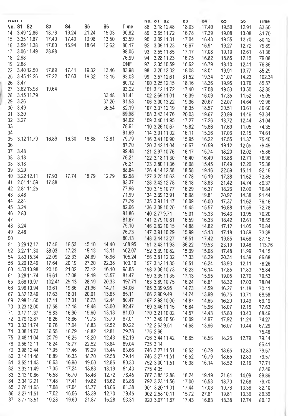| <b>INMIL 1</b> |            |        |       |       |       |            | <b>NO. 51 54</b> | აა    | 54    | ახ    | <b>SD</b> | <b>TIme</b> |
|----------------|------------|--------|-------|-------|-------|------------|------------------|-------|-------|-------|-----------|-------------|
|                | No. S1 S2  | S3     | S4    | S5    | S6    | Time       | 3.1812.48<br>88  | 18.03 | 17.40 | 19.50 | 12.91     | 83.50       |
| 14             | 3.49 12.86 | 18.76  | 19.24 | 21.24 | 15.03 | 90.62      | 89<br>3.65 11.72 | 16.78 | 17.39 | 19.08 | 13.08     | 81.70       |
| 15             | 3.3511.87  | 17.40  | 17.49 | 19.98 | 13.50 | 83.59      | 3.09 11.31<br>90 | 17.04 | 16.43 | 19.55 | 12.70     | 80.12       |
| 16             | 3.59 11.38 | 17.00  | 16.94 | 18.64 | 12.62 | 80.17      | 92<br>3.09 11.23 | 16.67 | 16.91 | 19.27 | 12.72     | 79.89       |
| 17             | 3.06 11.49 | 28.98  |       |       |       | 98.05      | 3.55 11.85<br>93 | 17.17 | 17.08 | 19.10 | 12.61     | 81.36       |
| 18             | 2.98       |        |       |       |       | 76.99      | 94<br>3.28 11.23 | 16.75 | 16.82 | 18.85 | 12.15     | 79.08       |
| 19             | 2.88       |        |       |       |       | <b>DNF</b> | 97<br>2.35 10.59 | 16.62 | 16.79 | 18.10 | 12.41     | 76.86       |
| 22             | 3.40 12.50 | 17.89  | 17.41 | 19.32 | 13.46 | 83.98      | 98<br>3.20 12.32 | 18.08 | 18.01 | 19.91 | 13.77     | 85.29       |
| 25             | 3.45 12.26 | 17.22  | 17.63 | 19.32 | 13.15 | 83.03      | 99 3.57 12.61    | 31.52 | 19.34 | 21.07 | 14.23     | 102.34      |
| 26             | 3.47       |        |       |       |       | 80.12      | 100 3.25 12.15   | 18.16 | 18.36 | 19.95 | 13.70     | 85.57       |
| 27             | 3.6213.98  | 19.64  |       |       |       | 93.22      | 101 3.12 11.72   | 17.40 | 17.08 | 19.53 | 13.50     | 82.35       |
| 28             | 3.15 11.79 |        |       |       | 33.48 | 81.41      | 102 2.69 11.01   | 16.39 | 16.09 | 17.35 | 11.52     | 75.05       |
| 29             | 3.26       |        |       |       |       | 81.53      |                  |       |       | 22.07 |           |             |
|                |            |        |       |       | 37.20 |            | 106 3.00 13.22   | 19.36 | 20.67 |       | 14.64     | 92.96       |
| 30             | 3.49       |        |       |       | 36.54 | 82.19      | 107 3.37 12.19   | 18.35 | 18.57 | 20.51 | 13.61     | 86.60       |
| 31             | 3.30       |        |       |       |       | 89.98      | 108 3.43 14.76   | 20.03 | 19.67 | 20.99 | 14.46     | 93.34       |
| 32             | 3.27       |        |       |       |       | 84.62      | 109 3.40 11.95   | 17.27 | 17.26 | 18.72 | 12.44     | 81.04       |
| 33             |            |        |       |       |       | 78.91      | 110 3.26 10.67   | 15.82 | 15.86 | 17.69 | 11.05     | 74.35       |
| 34             |            |        |       |       |       | 81.69      | 114 3.01 11.02   | 16.11 | 15.26 | 17.06 | 12.15     | 74.61       |
| 35             | 3.1211.79  | 16.89  | 16.30 | 18.88 | 12.81 | 79.79      | 116 3.41 10.90   | 15.95 | 16.22 | 17.55 | 11.37     | 75.40       |
| 36             |            |        |       |       |       | 87.70      | 120 3.42 11.04   | 16.67 | 16.59 | 19.12 | 12.65     | 79.49       |
| 37             | 3.48       |        |       |       |       | 99.48      | 121 2.97 10.76   | 16.17 | 15.74 | 18.20 | 12.02     | 75.86       |
| 38             | 3.18       |        |       |       |       | 76.21      | 122 3.18 11.30   | 16.40 | 16.49 | 18.88 | 12.71     | 78.96       |
| 38             | 3.18       |        |       |       |       | 76.21      | 123 2.80 11.36   | 16.08 | 15.45 | 17.49 | 12.20     | 75.38       |
| 39             | 3.20       |        |       |       |       | 88.84      | 126 4.14 12.58   | 18.58 | 19.16 | 22.59 | 15.11     | 92.16       |
| 40             | 3.22 12.11 | 17.93  | 17.74 | 18.79 | 12.79 | 82.58      | 127 3.25 10.63   | 15.78 | 15.19 | 17.38 | 11.62     | 73.85       |
| 41             | 2.51 11.59 | 17.88  |       |       |       | 83.37      | 128 3.42 12.78   | 18.18 | 18.83 | 21.42 | 14.74     | 89.37       |
| 42             | 2.81 11.25 |        |       |       |       | 77.96      | 130 3.15 10.77   | 16.29 | 16.37 | 18.26 | 12.00     | 76.84       |
| 43             | 3.48       |        |       |       |       | 71.99      | 134 3.39 13.91   | 18.98 | 19.81 | 20.97 | 14.38     | 91.44       |
| 44             | 2.81       |        |       |       |       | 77.76      | 135 3.91 11.17   | 16.09 | 16.00 | 17.37 | 11.62     | 76.16       |
| 45             | 3.24       |        |       |       |       | 82.66      | 136 3.09 10.20   | 15.45 | 15.57 | 16.88 | 11.59     | 72.78       |
| 46             | 2.83       |        |       |       |       | 81.86      | 140 2.77 9.71    | 15.01 | 15.33 | 16.43 | 10.95     | 70.20       |
| 47             |            |        |       |       |       | 81.87      | 141 3.79 10.81   | 16.59 | 16.33 | 18.42 | 12.61     | 78.55       |
| 48             | 3.24       |        |       |       |       | 79.10      | 146 2.82 10.15   | 14.88 | 14.82 | 17.12 | 11.05     | 70.84       |
| 49             | 2.48       |        |       |       |       | 76.73      | 147 3.91 10.29   | 15.99 | 15.13 | 17.18 | 10.89     | 73.39       |
| 50             |            |        |       |       |       | 80.13      | 148 3.44 13.27   | 18.51 | 17.42 | 19.85 | 14.66     | 87.15       |
| 51             | 3.29 12.17 | 17.46  | 16.53 | 45.10 | 14.40 | 108.95     | 151 3.43 11.93   | 36.22 | 19.53 | 23.19 | 19.46     | 113.76      |
| 52             | 3.27 11.30 | 38.03  | 17.23 | 19.13 | 13.11 | 102.07     | 152 3.39 10.82   | 15.39 | 15.08 | 17.48 | 11.99     | 74.15       |
| 54             | 3.83 15.34 | 22.09  | 22.33 | 24.69 | 16.96 | 105.24     | 156 3.81 12.32   | 17.33 | 18.29 | 20.34 | 14.59     | 86.68       |
| 56             | 3.2012.49  | 17.64  | 20.19 | 27.20 | 22.38 | 103.10     | 157 3.12 11.35   | 16.51 | 16.24 | 18.93 | 12.11     | 78.26       |
| 60             | 4.5313.98  | 20.10  | 21.02 | 23.12 | 16.10 | 98.85      | 158 3.06 10.73   | 16.23 | 16.14 | 17.85 | 11.83     | 75.84       |
| 61             | 3.28 11.74 | 16.61  | 17.08 | 19.19 | 13.57 | 81.47      | 159 3.35 11.35   | 17.13 | 15.95 | 19.05 | 12.70     | 79.53       |
| 65             | 3.68 13.97 | 102.41 | 29.13 | 28.19 | 20.33 | 197.71     | 163 3.89 10.75   | 16.24 | 16.81 | 18.32 | 12.03     | 78.04       |
| 66             | 3.98 13.94 | 19.61  | 19.86 | 21.96 | 14.71 | 94.06      | 165 3.39 9.95    | 14.73 | 14.59 | 16.27 | 11.18     | 70.11       |
| 67             | 3.32 12.49 | 17.63  | 18.01 | 20.01 | 13.65 | 85.11      | 166 2.90 9.49    | 14.74 | 13.99 | 16.75 | 10.71     | 68.58       |
| 69             | 2.98 11.60 | 17.41  | 17.31 | 18.73 | 12.44 | 80.47      | 167 2.98 10.00   | 14.87 | 14.65 | 16.20 | 10.49     | 69.19       |
| 70             | 3.23 12.00 | 17.58  | 17.18 | 19.48 | 13.00 | 82.47      | 169 3.46 11.15   |       |       |       |           |             |
| 71             | 3.17 11.37 | 16.83  | 16.90 | 19.60 | 13.13 | 81.00      |                  | 16.84 | 15.96 | 18.07 | 12.15     | 77.63       |
|                |            |        |       |       |       |            | 170 3.21 10.02   | 14.57 | 14.43 | 15.80 | 10.43     | 68.46       |
| 72             | 3.79 12.87 | 18.26  | 18.66 | 19.73 | 13.70 | 87.01      | 171 3.49 10.56   | 16.09 | 14.97 | 17.92 | 11.24     | 74.27       |
| 73             | 3.33 11.74 | 16.76  | 17.04 | 18.83 | 12.52 | 80.22      | 172 2.63 9.51    | 14.68 | 13.96 | 16.07 | 10.44     | 67.29       |
| 74             | 3.08 11.73 | 16.55  | 16.79 | 18.82 | 12.81 | 79.78      | 175 2.66         |       |       |       |           | 75.46       |
| 75             | 3.48 11.04 | 20.79  | 16.25 | 18.20 | 12.43 | 82.19      | 726 3.44 11.42   | 16.65 | 16.56 | 18.28 | 12.79     | 79.14       |
| 78             | 3.56 12.11 | 18.24  | 18.77 | 22.52 | 13.84 | 89.04      | 735 3.14         |       |       |       |           | 86.41       |
| 79             | 3.98 12.44 | 17.05  | 17.46 | 19.29 | 13.44 | 83.66      | 746 3.27 11.51   | 16.52 | 16.79 | 18.65 | 12.83     | 79.57       |
| 80             | 3.14 11.48 | 16.89  | 16.35 | 18.70 | 12.58 | 79.14      | 746 3.27 11.51   | 16.52 | 16.79 | 18.65 | 12.83     | 79.57       |
| 81             | 3.5211.43  | 16.63  | 16.90 | 19.00 | 12.85 | 80.33      | 752 3.00 11.51   | 16.38 | 16.14 | 18.52 | 12.16     | 77.71       |
| 82             | 3.3311.49  | 17.35  | 17.24 | 18.83 | 13.19 | 81.43      | 775 4.35         |       |       |       |           | 82.46       |
| 83             | 3.13 10.86 | 16.58  | 16.70 | 18.46 | 12.72 | 78.45      | 787 3.85 12.88   | 18.24 | 19.19 | 21.61 | 14.09     | 89.86       |
| 84             | 3.34 12.21 | 17.48  | 17.41 | 19.82 | 13.62 | 83.88      | 792 3.23 11.56   | 17.00 | 16.53 | 18.70 | 12.68     | 79.70       |
| 85             | 3.78 11.65 | 17.08  | 17.04 | 18.77 | 13.06 | 81.38      | 901 3.20 11.31   | 17.44 | 17.03 | 19.76 | 13.36     | 82.10       |
| 86             | 3.27 11.51 | 17.02  | 16.56 | 18.39 | 12.70 | 79.45      | 902 2.58 10.11   | 15.72 | 27.81 | 19.81 | 13.36     | 89.39       |
| 87             | 3.77 13.51 | 19.28  | 19.60 | 21.87 | 15.28 | 93.31      | 920 3.07 11.67   | 17.43 | 16.83 | 18.38 | 12.74     | 80.12       |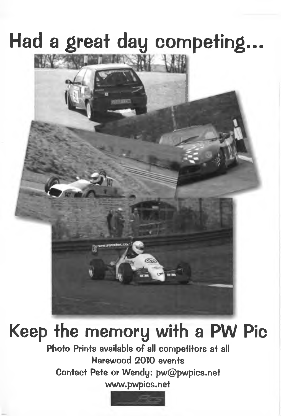# **Had a great day competing...**



# **Keep the memory with a PW Pic**

**Photo Prints available of all competitors at all Harewood 2010 events Contact Pete or Wendy: [pw@pwpics.net](mailto:pw@pwpics.net) [www.pwpics.net](http://www.pwpics.net)**

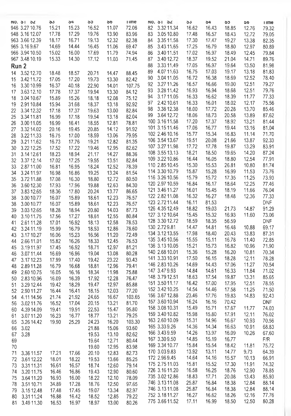|                  | <b>NO. 31 54</b> | აა    | 54    | ახ    | ১৩    | Hme    | NO. 51 52        | ১১    | 54    | ວວ    | <b>DD</b> | <b>Time</b> |
|------------------|------------------|-------|-------|-------|-------|--------|------------------|-------|-------|-------|-----------|-------------|
|                  | 946 3.27 10.76   | 15.21 | 15.23 | 16.52 | 11.07 | 72.06  | 3.3211.34<br>82  | 16.62 | 16.43 | 18.85 | 12.76     | 79.32       |
|                  | 948 3.16 12.07   | 17.78 | 17.29 | 19.76 | 13.90 | 83.96  | 3.05 10.80<br>83 | 17.48 | 16.57 | 18.43 | 12.72     |             |
|                  |                  |       |       |       |       |        |                  |       |       |       |           | 79.05       |
|                  | 963 3.66 12.39   | 18.17 | 16.71 | 19.13 | 12.32 | 82.38  | 3.35 11.58<br>84 | 17.30 | 17.47 | 19.27 | 13.38     | 82.35       |
|                  | 965 3.169.67     | 14.69 | 14.44 | 16.45 | 11.06 | 69.47  | 85<br>3.43 11.65 | 17.25 | 16.79 | 18.80 | 12.97     | 80.89       |
|                  | 966 3.94 10.50   | 15.02 | 16.00 | 17.69 | 11.79 | 74.94  | 3.40 11.51<br>86 | 17.02 | 16.97 | 18.49 | 12.45     | 79.84       |
|                  | 967 3.48 10.19   | 15.33 | 14.30 | 17.12 | 11.03 | 71.45  | 87<br>3.40 12.72 | 18.37 | 19.52 | 21.04 | 14.71     | 89.76       |
|                  |                  |       |       |       |       |        |                  |       |       |       |           |             |
| Run <sub>2</sub> |                  |       |       |       |       |        | 88<br>3.33 11.49 | 17.05 | 16.97 | 19.64 | 13.50     | 81.98       |
| 14               | 3.5212.70        | 18.48 | 18.57 | 20.71 | 14.47 | 88.45  | 4.07 11.63<br>89 | 16.75 | 17.03 | 19.17 | 13.18     | 81.83       |
|                  | 3.42 11.72       | 17.05 | 17.20 | 19.73 | 13.30 | 82.42  | 3.04 11.05<br>90 | 16.72 | 16.38 | 18.69 | 12.52     | 78.40       |
| 15               |                  |       |       |       |       |        | 3.27 11.26<br>92 | 16.57 | 16.66 | 19.00 | 12.51     | 79.27       |
| 16               | 3,30 10.99       | 16.37 | 40.18 | 22.90 | 14.01 | 107.75 |                  |       |       |       |           |             |
| 17               | 3.63 12.10       | 17.78 | 17.37 | 19.94 | 13.30 | 84.12  | 3.28 11.42<br>93 | 16.93 | 16.94 | 18.68 | 12.51     | 79.76       |
| 18               | 3.04 10.67       | 15.89 | 15.26 | 18.18 | 12.08 | 75.12  | 3.17 11.05<br>94 | 16.33 | 16.62 | 18.39 | 11.77     | 77.33       |
| 19               | 2.91 10.84       | 15.94 | 31.68 | 18.37 | 13.18 | 92.92  | 2.42 10.61<br>97 | 16.33 | 16.01 | 18.02 | 12.17     | 75.56       |
|                  |                  |       |       |       |       |        | 3.38 12.38<br>98 | 18.00 | 17.72 | 20.28 | 13.70     | 85.46       |
| 22               | 3.34 12.32       | 17.18 | 17.37 | 19.63 | 13.00 | 82.84  |                  |       |       |       |           |             |
| 25               | 3.34 11.81       | 16.99 | 17,18 | 19.54 | 13.18 | 82.04  | 99<br>3.64 12.72 | 18.06 | 18.73 | 20.58 | 13.89     | 87.62       |
| 26               | 3.00 11.05       | 16.99 | 16.41 | 18.55 | 12.81 | 78.81  | 100 3.16 11.58   | 17.20 | 17.37 | 18.92 | 13.21     | 81.44       |
| 27               | 3.32 14.02       | 20.16 | 19.45 | 20.85 | 14.12 | 91.92  | 101 3.15 11.46   | 17.06 | 16.77 | 19.44 | 13.16     | 81.04       |
|                  |                  |       |       |       |       |        | 102 2.46 10.16   | 15.77 | 15.34 | 16.83 | 11.14     | 71.70       |
| 28               | 3.22 11.33       | 16.75 | 17.00 | 18.59 | 13.06 | 79.95  |                  |       |       |       |           |             |
| 29               | 3.21 11.62       | 16.73 | 17.76 | 19.21 | 12.82 | 81.35  | 106 3.54 13.67   | 19.51 | 20.08 | 21.66 | 13.87     | 92.33       |
| 30               | 3.22 12.25       | 17.52 | 17.22 | 19.46 | 12.95 | 82.62  | 107 3.27 11.98   | 17.72 | 17.78 | 19.87 | 13.29     | 83.91       |
| 31               | 3.14 12.61       | 18.23 | 18.94 | 21.17 | 14.27 | 88.36  | 108 3.55 13.13   | 18.21 | 18.50 | 19.65 | 14.20     | 87.24       |
|                  |                  |       |       |       |       |        | 109 3.22 10.86   | 16.44 | 16.05 | 18.80 | 12.54     | 77.91       |
| 32               | 3.37 12.14       | 17.02 | 17.25 | 19.55 | 13.51 | 82.84  |                  |       |       |       |           |             |
| 33               | 2.87 11.00       | 16.81 | 16.95 | 18.24 | 12.52 | 78.39  | 110 2.85 10.45   | 15.30 | 15.53 | 26.81 | 10.80     | 81.74       |
| 34               | 3.24 11.97       | 16.98 | 16.86 | 19.25 | 13.24 | 81.54  | 114 3.30 10.79   | 15.87 | 15.28 | 16.99 | 11.53     | 73.76       |
| 35               | 3.7211.88        | 17.08 | 16.30 | 18.80 | 12.72 | 80.50  | 116 3.26 10.56   | 15.79 | 15.72 | 17.35 | 11.25     | 73.93       |
|                  |                  |       |       |       |       |        | 120 2.97 10.59   | 16.84 | 16.17 | 18.64 | 12.25     | 77.46       |
| 36               | 3.60 12.30       | 17.93 | 17.96 | 19.88 | 12.63 | 84.30  |                  |       |       |       |           |             |
| 37               | 3.8312.65        | 18.36 | 17.80 | 20.24 | 13.77 | 86.65  | 121 3.46 11.27   | 16.01 | 15.45 | 18.19 | 11.66     | 76.04       |
| 38               | 3.00 10.77       | 16.07 | 15.89 | 18.61 | 12.23 | 76.57  | 122 2.82 11.08   | 16.32 | 16.27 | 18.48 | 12.36     | 77.33       |
| 38               | 3.00 10.77       | 16.07 | 15.89 | 18.61 | 12.23 | 76.57  | 123 2.72 11.44   | 16.11 | 81.53 |       |           | <b>DNF</b>  |
|                  |                  |       |       |       |       |        | 126 4.35 12.49   | 18.82 | 19.03 | 21.73 | 14.87     | 91.29       |
| 39               | 3.03 12.65       | 18.28 | 18.94 | 20.80 | 14.03 | 87.73  | 127 3.12 10.64   | 15.45 | 15.32 | 16.93 | 11.60     |             |
| 40               | 3.10 11.75       | 17.56 | 17.27 | 18.61 | 12.55 | 80.84  |                  |       |       |       |           | 73.06       |
| 41               | 2.61 11.28       | 17.01 | 16.92 | 18.13 | 12.58 | 78.53  | 128 3.30 12.72   | 18.59 | 18.35 | 56.59 |           | <b>DNF</b>  |
| 42               | 3.24 11.19       | 15.99 | 16.79 | 18.53 | 12.86 | 78.60  | 130 2.729.81     | 14.47 | 14.81 | 16.48 | 10.88     | 69.17       |
|                  |                  |       | 15.23 |       | 11.20 | 72.49  | 134 3.12 13.55   | 17.98 | 18.40 | 20.43 | 13.83     | 87.31       |
| 43               | 3.17 10.27       | 16.06 |       | 16.56 |       |        | 135 3.45 10.56   | 15.55 | 15.11 | 16.78 | 11.40     | 72.85       |
| 44               | 2.66 11.01       | 15.82 | 16.26 | 18.33 | 12.45 | 76.53  |                  |       |       |       |           |             |
| 45               | 3.1911.97        | 17.45 | 16.92 | 18.71 | 12.97 | 81.21  | 136 3.13 10.05   | 15.21 | 15.73 | 16.82 | 10.96     | 71.90       |
| 46               | 3.0711.44        | 16.69 | 16.96 | 19.04 | 13.08 | 80.28  | 140 2.68 10.01   | 15.36 | 15.28 | 16.20 | 10.81     | 70.34       |
| 47               | 3.1712.23        | 17.99 | 17.40 | 19,42 | 23.22 | 93.43  | 141 3.33 10.91   | 17.50 | 16.15 | 18.28 | 12.11     | 78.28       |
|                  |                  |       |       |       |       |        | 146 2.83 10.26   | 14.69 | 14.43 | 17.06 | 11.27     | 70.54       |
| 48               | 2.89 11.28       | 16.79 | 16.68 | 18.81 | 12.96 | 79.41  |                  |       |       |       |           |             |
| 49               | 2.60 10.75       | 16.05 | 16.16 | 18.34 | 11.98 | 75.88  | 147 3.47 9.93    | 14.84 | 14.61 | 16.33 | 11.84     | 71.02       |
| 50               | 2.8310.96        | 16.09 | 16.39 | 17.92 | 12.28 | 76.47  | 148 3.79 12.51   | 18.63 | 17.54 | 19.87 | 13.31     | 85.65       |
| 51               | 3.29 12.44       | 19.42 | 18.29 | 19.47 | 12.97 | 85.88  | 151 3.50 11.17   | 16.42 | 17.00 | 17.95 | 12.51     | 78.55       |
|                  |                  |       | 16.41 | 18.15 | 12.03 | 77.20  | 152 3.42 10.25   | 14.54 | 14.46 | 17.58 | 11.25     | 71.50       |
| 52               | 2.90 11.27       | 16.44 |       |       |       |        | 156 3.67 12.88   | 23.46 | 17.76 | 19.83 |           |             |
| 54               | 4.11 14.56       | 21.74 | 21.92 | 24.65 | 16.67 | 103.65 |                  |       |       |       | 14.83     | 92.43       |
| 56               | 3.02 11.76       | 16.52 | 17.04 | 20.15 | 13.21 | 81.70  | 157 3.60 10.94   | 16.24 | 16.16 | 70.42 |           | <b>DNF</b>  |
| 60               | 4.39 14.09       | 19.41 | 19.91 | 22.53 | 15.47 | 95.80  | 158 3.08 10.31   | 15.49 | 15.71 | 17.67 | 11.77     | 74.03       |
| 61               | 3.0711.20        | 16.23 | 16.77 | 18.77 | 13.21 | 79.25  | 159 3.40 10.82   | 15.98 | 15.80 | 17.91 | 12.11     | 76.02       |
|                  |                  |       |       |       |       |        | 163 2.60 10.09   | 15.31 | 14.96 | 16.67 | 10.93     | 70.56       |
| 65               | 3.26 14.42       | 19.90 | 25.29 | 24.23 | 16.20 | 103.30 |                  |       |       |       |           |             |
| 66               | 3.02             |       |       | 21.88 | 15.06 | 93.60  | 165 3.33 9.26    | 14.36 | 14.34 | 16.63 | 10.91     | 68.83       |
| 67               | 3.28             |       |       | 19.53 | 13.10 | 82.62  | 166 3.43 9.59    | 14.26 | 13.97 | 16.09 | 10.26     | 67.60       |
| 69               |                  |       |       | 19.64 | 12.71 | 80.44  | 167 3.30 9.50    | 14.85 | 15.19 | 16.77 |           | F/R         |
|                  |                  |       |       |       |       |        | 169 3.34 10.77   | 15.84 | 15.54 | 18.42 | 11.81     | 75.72       |
| 70               |                  |       |       | 19.60 | 12.95 | 83.98  |                  |       |       |       |           |             |
| 71               | 3.36 11.57       | 17.21 | 17.66 | 20.10 | 12.83 | 82.73  | 170 3.03 9.83    | 13.92 | 13.11 | 14.77 | 9.73      | 64.39       |
| 72               | 3.6112.22        | 18.01 | 18.22 | 19.53 | 13.66 | 85.25  | 172 2.96 9.45    | 14.64 | 14.16 | 15.57 | 10.13     | 66.91       |
| 73               | 3.3111.31        | 16.61 | 16.57 | 18.74 | 12.60 | 79.14  | 175 2.75 11.03   | 15.81 | 15.52 | 17.30 | 11.91     | 74.32       |
|                  |                  |       |       |       |       |        | 726 3.16 11.20   | 16.58 | 16.25 | 18.76 | 12.90     | 78.85       |
| 74               | 3.2011.75        | 16.46 | 16.86 | 19.43 | 12.90 | 80.60  |                  |       |       |       |           |             |
| 75               | 3.64 11.20       | 16.93 | 16.00 | 18.22 | 12.10 | 78.09  | 735 3.02 12.86   | 18.83 | 17.71 | 20.08 | 13.43     | 85.93       |
| 78               | 3.51 10.71       | 34.89 | 17.28 | 18.76 | 12.50 | 97.65  | 746 3.13 11.08   | 25.87 | 16.84 | 18.38 | 12.84     | 88.14       |
| 79               | 3.15 12.48       | 17.48 | 17.45 | 19.07 | 13.34 | 82.97  | 746 3.13 11.08   | 25.87 | 16.84 | 18.38 | 12.84     | 88.14       |
|                  |                  |       | 16.42 | 18.52 | 12.85 | 79.22  | 752 3.18 11.27   | 16.27 | 16.62 | 18.26 | 12.16     | 77.76       |
| 80               | 3.3111.24        | 16.88 |       |       |       |        | 775 3.66 11.52   | 17.11 | 16.99 | 18.50 | 12.50     | 80.28       |
| 81               | 3.49 11.30       | 16.53 | 16.97 | 18.97 | 13.00 | 80.26  |                  |       |       |       |           |             |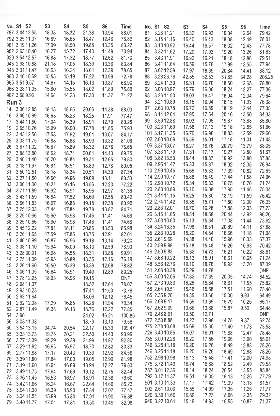|    | No. S1 S2      | S <sub>3</sub> | S4    | S5    | S6    | Time   | No. S1 S2        | S <sub>3</sub> | S4    | S5    | S6    | Time       |
|----|----------------|----------------|-------|-------|-------|--------|------------------|----------------|-------|-------|-------|------------|
|    | 787 3.44 12.55 | 18.38          | 18.32 | 21.38 | 13.94 | 88.01  | 3.28 11.21<br>81 | 16.32          | 16.93 | 19.04 | 12.64 | 79.42      |
|    | 792 3.25 11.37 | 16.69          | 16.65 | 18.47 | 12.46 | 78.89  | 82<br>3.15 11.16 | 16.40          | 16,43 | 18.38 | 12.49 | 78.01      |
|    |                |                |       |       |       |        |                  |                |       |       |       |            |
|    | 901 3.19 11.26 | 17.09          | 18.50 | 19.88 | 13.35 | 83.27  | 83<br>3.10 10.92 | 16.44          | 16.57 | 18.32 | 12.43 | 77.78      |
|    | 902 2.63 10.40 | 16.27          | 15.72 | 17.43 | 11.49 | 73.94  | 3.32 11.62<br>84 | 17.20          | 17.03 | 19.20 | 13.26 | 81.63      |
|    | 920 3.54 12.57 | 16.88          | 17.32 | 18.77 | 12.62 | 81.70  | 85<br>3.43 11.91 | 16.92          | 16.21 | 18.18 | 12.86 | 79.51      |
|    | 946 2.98 10.88 | 21.18          | 17.05 | 18.39 | 13.36 | 83.84  | 3.41 11.64<br>86 | 16.59          | 15.76 | 17.99 | 12.55 | 77.94      |
|    | 948 3.31 11.47 | 16.63          | 16.24 | 18.61 | 12.39 | 78.65  | 3.62 12.59       |                |       |       |       |            |
|    |                |                |       |       |       |        | 87               | 17.97          | 18.69 | 20.84 | 14.41 | 88.12      |
|    | 963 3.16 10.69 | 15.53          | 15.19 | 17.22 | 10.99 | 72.78  | 3.28 23.76<br>88 | 42.55          | 52.53 | 51.85 | 34.28 | 208.25     |
|    | 965 3.51 9.57  | 14.67          | 14.15 | 16.13 | 10.87 | 68.90  | 89<br>3.24 11.30 | 16.31          | 16.70 | 18.60 | 12.65 | 78.80      |
|    | 966 3.28 11.35 | 15.80          | 15.55 | 18.02 | 11.80 | 75.80  | 92<br>3.03 10.97 | 16.79          | 16.06 | 18.24 | 12.27 | 77.36      |
|    | 967 3.68 9.96  | 14.68          | 14.23 | 17.30 | 11.37 | 71.22  | 93<br>3.26 11.50 | 18.03          | 16.47 |       |       |            |
|    |                |                |       |       |       |        |                  |                |       | 18.04 | 12.34 | 79.64      |
|    | Run 3          |                |       |       |       |        | 94<br>3.2110.89  | 16.16          | 16.04 | 18.15 | 11.93 | 76.38      |
| 14 | 3.36 12.85     | 18.13          | 18.65 | 20.66 | 14.38 | 88.03  | 2.63 10.78<br>97 | 16.72          | 16.59 | 18.19 | 12.44 | 77.35      |
| 16 | 3.46 10.99     | 16.63          | 16.23 | 18.25 | 11.91 | 77.47  | 98<br>3.14 12.04 | 17.95          | 17.54 | 20.16 | 13.50 | 84.33      |
|    |                |                |       |       |       |        | 3.59 12.88<br>99 | 18.03          | 17.95 | 19,67 | 13,68 | 85.80      |
| 17 | 3.44 11.80     | 17.04          | 16.39 | 18.91 | 12.70 | 80.28  |                  |                |       |       |       |            |
| 19 | 2.65 10.76     | 15.99          | 16.90 | 17.78 | 11.85 | 75.93  | 100 3.23 11.69   | 17.58          | 17.13 | 19.18 | 12.85 | 81.66      |
| 22 | 3.43 12.56     | 17.58          | 17.92 | 19.61 | 13.07 | 84.17  | 101 3.17 11.35   | 16.76          | 16.96 | 18.83 | 12.59 | 79.66      |
| 25 | 3.33 11.75     | 16.88          | 16.88 | 18.90 | 13.32 | 81.06  | 102 2.60 10.09   | 15.59          | 15.01 | 17.18 | 11.01 | 71.48      |
|    |                |                |       |       |       |        | 106 3.37 13.07   | 18.27          | 18.76 | 20.79 | 13.79 | 88.05      |
| 26 | 3.6711.32      | 16.67          | 15.89 | 18.32 | 12.78 | 78.65  |                  |                |       |       |       |            |
| 27 | 3.88 13.80     | 18.62          | 18.71 | 20.61 | 14,13 | 89.75  | 107 3.33 11.79   | 17.31          | 17.17 | 19.27 | 12.80 | 81.67      |
| 29 | 3.40 11.40     | 16.20          | 16.84 | 19.31 | 12.65 | 79.80  | 108 3.82 13.53   | 18.44          | 18.37 | 19.92 | 13.80 | 87.88      |
| 30 | 3.18 11.97     | 16.81          | 16.51 | 18.80 | 12.78 | 80.05  | 109 2.95 11.42   | 16.33          | 15.87 | 18.02 | 12.35 | 76.94      |
|    |                |                |       |       |       |        | 110 2.99 10.46   | 15.66          | 15,33 | 17.39 | 10.82 | 72.65      |
| 31 | 3.50 12.51     | 18.18          | 18.34 | 20.51 | 14.30 | 87.34  |                  |                |       |       |       |            |
| 32 | 3.27 11.50     | 16.60          | 16.96 | 19.09 | 13.11 | 80.53  | 114 2.90 10.77   | 15.88          | 15.49 | 17.44 | 11.58 | 74.06      |
| 33 | 3.06 11.00     | 16.21          | 16.16 | 18.56 | 12.23 | 77.22  | 116 2.90 10.72   | 15.34          | 15.33 | 16.75 | 10.70 | 71.74      |
| 34 | 3.7111.89      | 16.92          | 16.91 | 18.96 | 12.97 | 81.36  | 120 2.80 10.89   | 16.16          | 16.08 | 17.95 | 11.46 | 75.34      |
| 35 | 3.43 11.59     | 16.64          | 17.52 | 18.69 | 12.55 | 80.42  | 121 3.44 11.15   | 16.25          | 15.80 | 18.19 | 11.59 | 76.42      |
|    |                |                |       |       |       |        | 122 2.74 11.42   | 16.36          | 15.71 | 17.80 | 12,30 | 76.33      |
| 36 | 3.66 11.83     | 16.97          | 16.88 | 19.18 | 12.38 | 80.90  |                  |                |       |       |       |            |
| 37 | 3.75 12.03     | 17.44          | 17.84 | 19.78 | 13.87 | 84.71  | 123 2.83 12.01   | 16.70          | 16.28 | 17.88 | 12.03 | 77.73      |
| 38 | 3.25 10.66     | 15.90          | 15.98 | 17.46 | 11.41 | 74.66  | 126 3.16 11.65   | 18.51          | 18.58 | 20.44 | 13.92 | 86.26      |
| 38 | 3.25 10.66     | 15.90          | 15.98 | 17.46 | 11.41 | 74.66  | 127 3.03 10.60   | 16.13          | 15.34 | 17.08 | 11.44 | 73.62      |
|    |                |                |       |       |       |        | 134 3.24 13.35   | 17.98          | 18.51 | 20.69 | 14.11 | 87.88      |
| 39 | 3.45 12.22     | 17.81          | 18.11 | 20.86 | 13.53 | 85.98  | 135 2.83 10.28   |                |       |       |       |            |
| 40 | 3.26 11.65     | 17.59          | 17.85 | 18.75 | 12.91 | 82.01  |                  | 15.29          | 14.84 | 16.66 | 11.18 | 71.08      |
| 41 | 2.46 10.99     | 16.87          | 16.56 | 19.18 | 13,14 | 79.20  | 136 2.61 9.69    | 14.38          | 14.40 | 15.96 | 10.33 | 67.37      |
| 42 | 3.08 11.10     | 15.94          | 16.09 | 18.13 | 12.59 | 76.93  | 140 2.59 9.98    | 15.18          | 15.48 | 16.26 | 10.93 | 70.42      |
| 43 | 3.28 30.91     | 16.98          | 16.55 | 18.31 | 13.88 | 99.91  | 146 2.50 9.83    | 15.32          | 14.73 | 16.21 | 10.22 | 68.81      |
|    |                |                |       |       |       |        | 147 3.66 10.22   | 15.13          | 15.01 | 16.61 | 10.65 | 71.28      |
| 44 | 2.75 11.09     | 15.95          | 15.89 | 18.35 | 12.16 | 76.19  |                  |                |       |       |       |            |
| 45 | 3.26 11.60     | 16.50          | 16.39 | 18.39 | 12.68 | 78.82  | 148 3.56 12.76   | 19.19          | 18.76 | 19.92 | 13.20 | 87.39      |
| 46 | 3.06 11.35     | 16.64          | 16.91 | 19.40 | 12.89 | 80.25  | 151 2.68 10.38   | 15.29          | 14.78 |       |       | <b>DNF</b> |
| 47 | 3.78 12.25     | 18.03          | 16.96 | 19.15 |       | DNF    | 156 3.00 12.06   | 17.32          | 17.35 | 20.05 | 14.74 | 84.52      |
| 48 | 2.98 11.37     |                |       | 18.52 |       | 78.07  | 157 2.73 10.83   | 16.26          | 15.84 | 18.61 | 11.55 | 75.82      |
|    |                |                |       |       | 12.64 |        | 158 2.64 10.51   | 15.46          | 15.68 | 17.51 | 11.60 | 73.40      |
| 49 | 2.93 10.23     |                |       | 17.41 | 11.50 | 73.76  |                  |                |       |       |       |            |
| 50 | 2.93 11.64     |                |       | 18.06 | 12.12 | 76.45  | 165 2.35 9.20    | 14.35          | 13.66 | 15.00 | 9.93  | 64.49      |
| 51 | 2.92 12.08     | 17.29          | 16.85 | 18.26 | 11.94 | 79.34  | 166 2.68 9.17    | 14.59          | 13.69 | 15.79 | 10.25 | 66.17      |
| 52 | 2.87 11.49     | 16.38          | 16.13 | 18.76 | 12.22 | 77.85  | 167 2.62 9.09    | 13.66          | 13.68 | 15.87 | 9.56  | 64.48      |
|    |                |                |       |       |       |        | 170 2.46 8.91    | 13.50          | 12.71 |       |       | <b>DNF</b> |
| 54 | 3.90           |                |       | 24.02 | 16.21 | 100.85 |                  |                |       |       |       |            |
| 56 | 3.08 11.38     |                |       | 18.79 | 13.10 | 79.56  | 172 2.50 8.88    | 14.23          | 12.98 | 14.78 | 9.37  | 62.74      |
| 60 | 3.54 13.15     | 34.74          | 20.54 | 22.17 | 15.33 | 109.47 | $1/5$ 2.78 10.68 | 15.69          | 15.30 | 17.40 | 11.73 | 73.58      |
| 65 | 3.33 13.73     | 19.76          | 20.21 | 22.50 | 14.43 | 93.96  | 726 3.40 10.85   | 16.07          | 16.01 | 19.68 | 12.47 | 78.48      |
|    | 3.77 13.39     | 19.29          | 19.39 | 21.99 | 14.97 | 92.80  | 735 3.09 12.28   | 18.22          | 17.56 | 19.96 | 13.90 | 85.01      |
| 66 |                |                |       |       |       |        | 746 3.25 11.18   | 16.20          | 16.26 | 18.49 | 12.88 | 78.26      |
| 67 | 3.29 11.92     | 16.63          | 16.97 | 18.70 | 12.82 | 80.33  |                  |                |       |       |       |            |
| 69 | 2.77 11.88     | 17.17          | 20.43 | 19.39 | 12.92 | 84.56  | 746 3.25 11.18   | 16.20          | 16.26 | 18.49 | 12.88 | 78.26      |
| 70 | 3.39 11.80     | 17.84          | 17.00 | 19.05 | 12.90 | 81.98  | 752 2.98 10.98   | 16.13          | 15.48 | 17.41 | 12.00 | 74.98      |
| 71 | 3.19 11.60     | 16.94          | 16.89 | 18.94 | 12.27 | 79.83  | 775 3.72 11.43   | 16.74          | 16.68 | 18.52 | 12.49 | 79.58      |
|    |                |                |       |       |       |        | 787 3.01 12.36   | 18.14          | 18.24 | 20.54 | 13.55 | 85.84      |
| 72 | 3.49 11.75     | 17.64          | 17.69 | 19.12 | 12.75 | 82.44  |                  |                |       |       |       |            |
| 73 | 3.36 11.45     | 16.53          | 16.97 | 18.91 | 12.38 | 79.60  | 792 3.17 11.37   | 16.51          | 16.35 | 18.13 | 12.26 | 77.79      |
| 74 | 3.42 11.66     | 16.24          | 16.67 | 22.64 | 14.60 | 85.23  | 901 3.13 11.33   | 17.17          | 17.42 | 19.39 | 13.13 | 81.57      |
| 75 | 3.94 11.30     | 16.39          | 15.93 | 17.84 | 12.07 | 77.47  | 902 2.61 10.00   | 15.55          | 14.99 | 17.36 | 11.26 | 71.77      |
| 78 | 3.24 11.54     | 15.99          | 15.80 | 17.91 | 11.90 |        | 920 3.39 11.60   | 16.69          | 17.23 | 18.06 | 12.35 | 79.32      |
|    |                |                |       |       |       | 76.38  |                  | 15.19          | 14.93 | 16.55 |       | 71.37      |
| 79 | 3.40 11.77     | 17.01          | 17.81 | 19.50 | 13.49 | 82.98  | 946 3.22 10.61   |                |       |       | 10.87 |            |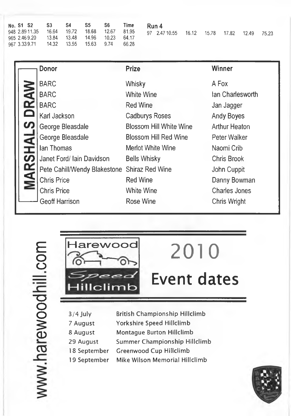| No. S1 S2      | S3.   | S4    | S5.   | S6.   | Time  |
|----------------|-------|-------|-------|-------|-------|
| 948 2.89 11.35 | 16.64 | 19.72 | 18.68 | 12 67 | 81.95 |
| 965 2.46 9.20  | 13.84 | 13.48 | 14.96 | 10.23 | 64.17 |
| 967 3.339.71   | 14.32 | 13.55 | 15.63 | 9.74  | 66.28 |
|                |       |       |       |       |       |

**Run 4**

|                       | Donor                                        | <b>Prize</b>                   | Winner               |
|-----------------------|----------------------------------------------|--------------------------------|----------------------|
|                       | <b>BARC</b>                                  | Whisky                         | A Fox                |
| RAW                   | <b>BARC</b>                                  | White Wine                     | Ian Charlesworth     |
|                       | <b>BARC</b>                                  | <b>Red Wine</b>                | Jan Jagger           |
|                       | Karl Jackson                                 | <b>Cadburys Roses</b>          | <b>Andy Boyes</b>    |
| $\boldsymbol{\omega}$ | George Bleasdale                             | <b>Blossom Hill White Wine</b> | <b>Arthur Heaton</b> |
|                       | George Bleasdale                             | <b>Blossom Hill Red Wine</b>   | Peter Walker         |
| <b>SHAL</b>           | Ian Thomas                                   | Merlot White Wine              | Naomi Crib           |
|                       | Janet Ford/ Iain Davidson                    | <b>Bells Whisky</b>            | <b>Chris Brook</b>   |
| MAR                   | Pete Cahill/Wendy Blakestone Shiraz Red Wine |                                | John Cuppit          |
|                       | <b>Chris Price</b>                           | <b>Red Wine</b>                | Danny Bowman         |
|                       | <b>Chris Price</b>                           | White Wine                     | <b>Charles Jones</b> |
|                       | <b>Geoff Harrison</b>                        | Rose Wine                      | Chris Wright         |



2010 **Event dates**

- **3 /4 July British C ham pionship Hillclim b**
- **7 August** Yorkshire Speed Hillclimb
- **8 August Montague Burton Hillclimb**
- 29 August Summer Championship Hillclimb
- **18 September** Greenwood Cup Hillclimb
- 19 September Mike Wilson Memorial Hillclimb

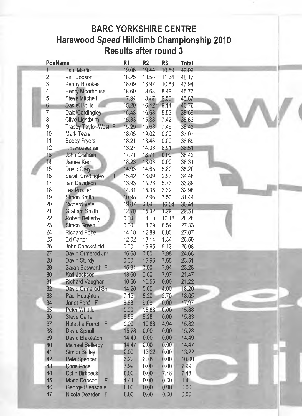## **BARC YORKSHIRE CENTRE Harewood** *Speed* **Hillclimb Championship 2010 Results after round 3**

|                          | <b>Pos Name</b>        | R <sub>1</sub> | R <sub>2</sub> | R <sub>3</sub> | Total |  |
|--------------------------|------------------------|----------------|----------------|----------------|-------|--|
|                          | <b>Paul Martin</b>     | 19.06          | 19.44          | 10.59          | 49.09 |  |
| $\overline{2}$           | Vini Dobson            | 18.25          | 18.58          | 11.34          | 48.17 |  |
| 3                        | Kenny Brookes          | 18.09          | 18.97          | 10.88          | 47.94 |  |
| $\overline{\mathcal{A}}$ | Henry Moorhouse        | 18.60          | 18.68          | 8.49           | 45.77 |  |
| 5                        | <b>Steve Mitchell</b>  | 17,94          | 18.17          | 9.56           | 45.67 |  |
| 6                        | Daniel Hollis          | 15.20          | 16.42          | 9.14           | 40.76 |  |
| $\overline{7}$           | <b>Dale</b> Cordingley | 16.48          | 16.68          | 5.53           | 38.69 |  |
| 8                        | Clive Lightburn        | 15.33          | 15.88          | 7.42           | 38.63 |  |
| 9                        | Tracey Taylor-West F   | 15.29          | 15.68          | 7.46           | 38.43 |  |
| 10                       | Mark Teale             | 18.05          | 19.02          | 0.00           | 37.07 |  |
| 11                       | <b>Bobby Fryers</b>    | 18.21          | 18.48          | 0.00           | 36.69 |  |
| 12                       | Tim Houseman           | 13.27          | 14.33          | 8.91           | 36.51 |  |
| 13                       | John Graham            | 17.71          | 18.71          | 0.00           | 36.42 |  |
| 14                       | James Kerr             | 18.23          | 18.08          | 0.00           | 36.31 |  |
| 15                       | David Grey             | 14.93          | 14.65          | 5.62           | 35.20 |  |
| 16                       | Sarah Cordingley       | 15.42          | 16.09          | 2.97           | 34.48 |  |
| 17                       | lain Davidson          | 13.93          | 14.23          | 5.73           | 33.89 |  |
| 18                       | Les Procter            | 14.31          | 15.35          | 3.32           | 32.98 |  |
| 19                       | Simon Smith            | 10.98          | 12.96          | 7.50           | 31.44 |  |
| 20                       | <b>Richard Vale</b>    | 19.87          | 0.00           | 10.54          | 30.41 |  |
| 21                       | Graham Smith           | 12:70          | 15:32          | 1.29           | 29.31 |  |
| 22                       | Robert Bellerby        | 0.00           | 18.10          | 10.18          | 28.28 |  |
| 23                       | Simon Green            | 0.00           | 18.79          | 8.54           | 27.33 |  |
| 24                       | <b>Richard Pope</b>    | 14.18          | 12.89          | 0.00           | 27.07 |  |
| 25                       | Ed Carter              | 12.02          | 13.14          | 1.34           | 26.50 |  |
| 26                       | John Chacksfield       | 0.00           | 16.95          | 9.13           | 26.08 |  |
| 27                       | David Ormerod Jnr      | 16.68          | 0.00           | 7,98           | 24.66 |  |
| 28                       | David Sturdy           | 0.00           | 15.96          | 7.55           | 23.51 |  |
| 29                       | Sarah Bosworth F       | 15.34          | 0.00           | 7.94           | 23.28 |  |
| 30                       | Karl Jackson           | 13.50          | 0.00           | 7.97           | 21.47 |  |
| 31                       | Richard Vaughan        | 10.66          | 10.56          | 0.00           | 21.22 |  |
| 32                       | David Ormerod Snr      | 14.20          | 0.00           | 4.00           | 18.20 |  |
| 33                       | Paul Houghton          | 7.15           | 8.20           | 2.70           | 18.05 |  |
| 34                       | Janet Ford F           | 8.88           | 9.09           | 0.00           | 17.97 |  |
| 35                       | Peter Whittle          | 0.00           | 15.88          | 0.00           | 15.88 |  |
| 36                       | <b>Steve Carter</b>    | 6.55           | 9.28           | 0.00           | 15.83 |  |
| 37                       | Natasha Forret F       | 0.00           | 10.88          | 4.94           | 15.82 |  |
| 38                       | David Spaull           | 15.28          | 0.00           | 0.00           | 15.28 |  |
| 39                       | David Blakeston        | 14.49          | 0.00           | 0.00           | 14.49 |  |
| 40                       | Michael Bellerby       | 14.47          | 0.00           | 0.00           | 14.47 |  |
|                          |                        |                | 13,22          |                | 13.22 |  |
| 41<br>42                 | <b>Simon Bailey</b>    | 0.00<br>3.22   | 6.78           | 0.00<br>0.00   | 10.00 |  |
|                          | Pete Spencer           | 7.99           | 0.00           |                |       |  |
| 43                       | <b>Chris Price</b>     |                |                | 0.00           | 7.99  |  |
| 44                       | <b>Colin Birkbeck</b>  | $0.00\,$       | 0.00           | 7.48           | 7.48  |  |
| 45                       | F<br>Marie Dobson      | 1.41           | 0.00           | 0.00           | 1.41  |  |
| 46                       | George Bleasdale       | 0.00           | 0.00           | 0.00           | 0.00  |  |
| 47                       | Nicola Dearden F       | 0.00           | 0.00           | 0.00           | 0.00  |  |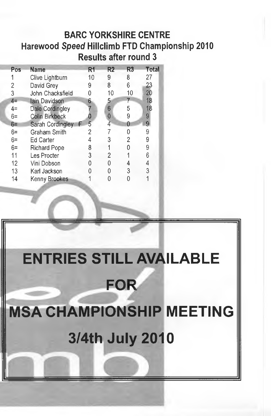### **BARC YORKSHIRE CENTRE Harewood** *Speed* **Hillclimb FTD Championship 2010 Results after round 3**

| Pos  | Name                  | R1 | R2 | R3 | Total |
|------|-----------------------|----|----|----|-------|
|      | Clive Lightburn       | 10 | 9  | 8  | 27    |
| 2    | David Grey            | 9  | 8  | 6  | 23    |
| 3    | John Chacksfield      | 0  | 10 | 10 | 20    |
| $4=$ | lain Davidson         | 6  | 5  | 7  | 18    |
| $4=$ | Dale Cordingley       |    | 6  | 5  | 18    |
| $6=$ | <b>Colin Birkbeck</b> | O  | 0  | 9  | 9     |
| $6=$ | Sarah Cordingley      | 5  | 4  | Ω  | 9     |
| $6=$ | Graham Smith          | 2  |    | O  | 9     |
| $6=$ | Ed Carter             | 4  | 3  | 2  | 9     |
| $6=$ | Richard Pope          | 8  |    |    | 9     |
| 11   | Les Procter           | 3  | 2  |    | 6     |
| 12   | Vini Dobson           | N  | ი  |    | 4     |
| 13   | Karl Jackson          | Λ  | Ŋ  | 3  | 3     |
| 14   | Kenny Brookes         |    |    |    |       |
|      |                       |    |    |    |       |